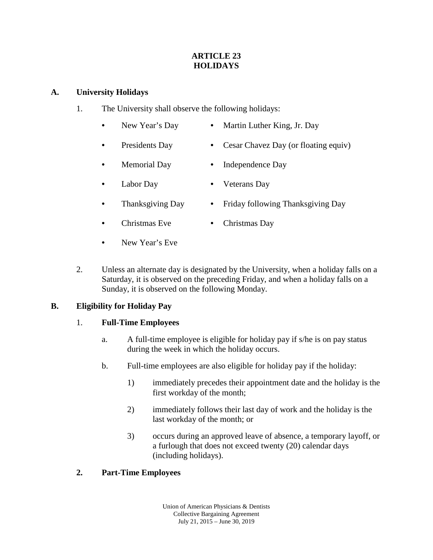#### **ARTICLE 23 HOLIDAYS**

#### **A. University Holidays**

- 1. The University shall observe the following holidays:
	- New Year's Day Martin Luther King, Jr. Day
	- Presidents Day Cesar Chavez Day (or floating equiv)
	- Memorial Day Independence Day
	- Labor Day Veterans Day
		- Thanksgiving Day Friday following Thanksgiving Day
	- Christmas Eve Christmas Day
	- New Year's Eve
- 2. Unless an alternate day is designated by the University, when a holiday falls on a Saturday, it is observed on the preceding Friday, and when a holiday falls on a Sunday, it is observed on the following Monday.

# **B. Eligibility for Holiday Pay**

# 1. **Full-Time Employees**

- a. A full-time employee is eligible for holiday pay if s/he is on pay status during the week in which the holiday occurs.
- b. Full-time employees are also eligible for holiday pay if the holiday:
	- 1) immediately precedes their appointment date and the holiday is the first workday of the month;
	- 2) immediately follows their last day of work and the holiday is the last workday of the month; or
	- 3) occurs during an approved leave of absence, a temporary layoff, or a furlough that does not exceed twenty (20) calendar days (including holidays).

# **2. Part-Time Employees**